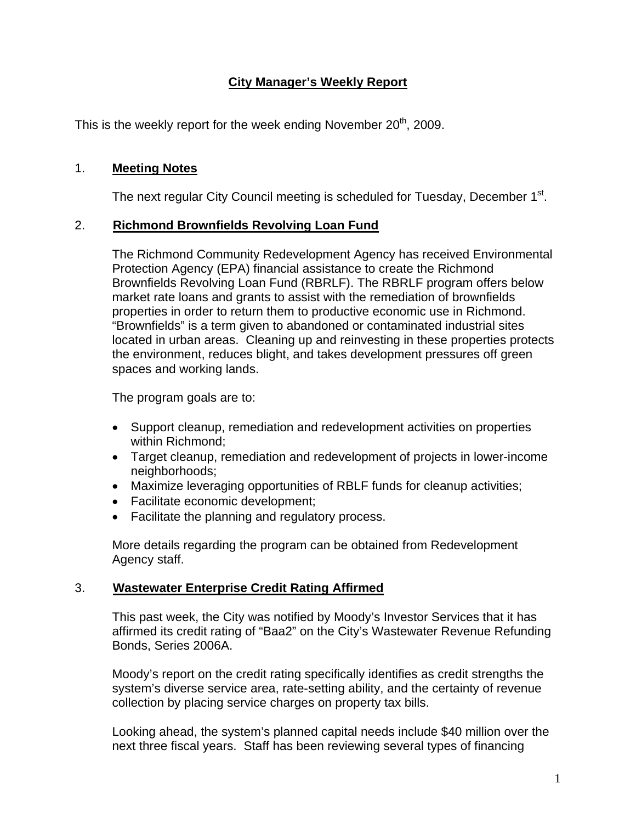# **City Manager's Weekly Report**

This is the weekly report for the week ending November  $20<sup>th</sup>$ , 2009.

## 1. **Meeting Notes**

The next regular City Council meeting is scheduled for Tuesday, December 1<sup>st</sup>.

## 2. **Richmond Brownfields Revolving Loan Fund**

The Richmond Community Redevelopment Agency has received Environmental Protection Agency (EPA) financial assistance to create the Richmond Brownfields Revolving Loan Fund (RBRLF). The RBRLF program offers below market rate loans and grants to assist with the remediation of brownfields properties in order to return them to productive economic use in Richmond. "Brownfields" is a term given to abandoned or contaminated industrial sites located in urban areas. Cleaning up and reinvesting in these properties protects the environment, reduces blight, and takes development pressures off green spaces and working lands.

The program goals are to:

- Support cleanup, remediation and redevelopment activities on properties within Richmond;
- Target cleanup, remediation and redevelopment of projects in lower-income neighborhoods;
- Maximize leveraging opportunities of RBLF funds for cleanup activities;
- Facilitate economic development;
- Facilitate the planning and regulatory process.

More details regarding the program can be obtained from Redevelopment Agency staff.

#### 3. **Wastewater Enterprise Credit Rating Affirmed**

This past week, the City was notified by Moody's Investor Services that it has affirmed its credit rating of "Baa2" on the City's Wastewater Revenue Refunding Bonds, Series 2006A.

Moody's report on the credit rating specifically identifies as credit strengths the system's diverse service area, rate-setting ability, and the certainty of revenue collection by placing service charges on property tax bills.

Looking ahead, the system's planned capital needs include \$40 million over the next three fiscal years. Staff has been reviewing several types of financing